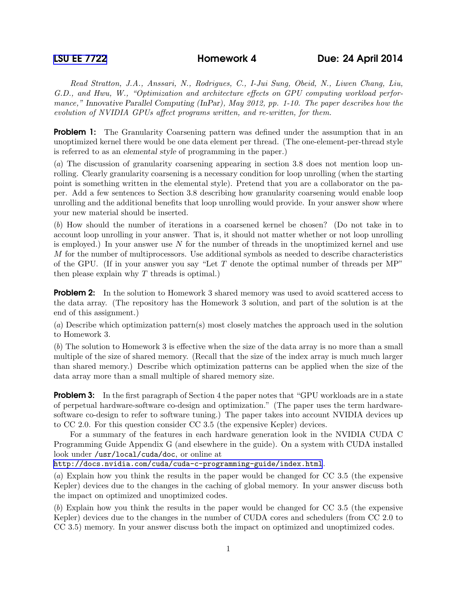Read Stratton, J.A., Anssari, N., Rodrigues, C., I-Jui Sung, Obeid, N., Liwen Chang, Liu, G.D., and Hwu, W., "Optimization and architecture effects on GPU computing workload performance," Innovative Parallel Computing (InPar), May 2012, pp. 1-10. The paper describes how the evolution of NVIDIA GPUs affect programs written, and re-written, for them.

**Problem 1:** The Granularity Coarsening pattern was defined under the assumption that in an unoptimized kernel there would be one data element per thread. (The one-element-per-thread style is referred to as an elemental style of programming in the paper.)

(a) The discussion of granularity coarsening appearing in section 3.8 does not mention loop unrolling. Clearly granularity coarsening is a necessary condition for loop unrolling (when the starting point is something written in the elemental style). Pretend that you are a collaborator on the paper. Add a few sentences to Section 3.8 describing how granularity coarsening would enable loop unrolling and the additional benefits that loop unrolling would provide. In your answer show where your new material should be inserted.

(b) How should the number of iterations in a coarsened kernel be chosen? (Do not take in to account loop unrolling in your answer. That is, it should not matter whether or not loop unrolling is employed.) In your answer use  $N$  for the number of threads in the unoptimized kernel and use M for the number of multiprocessors. Use additional symbols as needed to describe characteristics of the GPU. (If in your answer you say "Let  $T$  denote the optimal number of threads per MP" then please explain why  $T$  threads is optimal.)

**Problem 2:** In the solution to Homework 3 shared memory was used to avoid scattered access to the data array. (The repository has the Homework 3 solution, and part of the solution is at the end of this assignment.)

(a) Describe which optimization pattern(s) most closely matches the approach used in the solution to Homework 3.

(b) The solution to Homework 3 is effective when the size of the data array is no more than a small multiple of the size of shared memory. (Recall that the size of the index array is much much larger than shared memory.) Describe which optimization patterns can be applied when the size of the data array more than a small multiple of shared memory size.

**Problem 3:** In the first paragraph of Section 4 the paper notes that "GPU workloads are in a state of perpetual hardware-software co-design and optimization." (The paper uses the term hardwaresoftware co-design to refer to software tuning.) The paper takes into account NVIDIA devices up to CC 2.0. For this question consider CC 3.5 (the expensive Kepler) devices.

For a summary of the features in each hardware generation look in the NVIDIA CUDA C Programming Guide Appendix G (and elsewhere in the guide). On a system with CUDA installed look under /usr/local/cuda/doc, or online at

<http://docs.nvidia.com/cuda/cuda-c-programming-guide/index.html>.

(a) Explain how you think the results in the paper would be changed for CC 3.5 (the expensive Kepler) devices due to the changes in the caching of global memory. In your answer discuss both the impact on optimized and unoptimized codes.

(b) Explain how you think the results in the paper would be changed for CC 3.5 (the expensive Kepler) devices due to the changes in the number of CUDA cores and schedulers (from CC 2.0 to CC 3.5) memory. In your answer discuss both the impact on optimized and unoptimized codes.